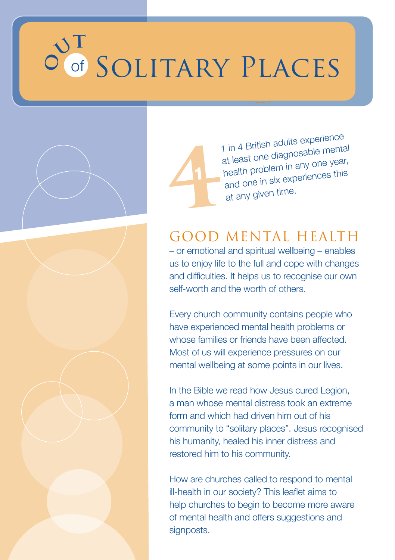# of **O** Solitary Places  $\mathbf{v}$

1



1 in 4 British adults experience at least one diagnosable mental health problem in any one year, health problems<br>and one in six experiences this 1 in 4 British address<br>at least one diagno<br>health problem in a<br>and one in six experties.

## GOOD MENTAL HEALTH

– or emotional and spiritual wellbeing – enables us to enjoy life to the full and cope with changes and difficulties. It helps us to recognise our own self-worth and the worth of others.

Every church community contains people who have experienced mental health problems or whose families or friends have been affected. Most of us will experience pressures on our mental wellbeing at some points in our lives.

In the Bible we read how Jesus cured Legion, a man whose mental distress took an extreme form and which had driven him out of his community to "solitary places". Jesus recognised his humanity, healed his inner distress and restored him to his community.

How are churches called to respond to mental ill-health in our society? This leaflet aims to help churches to begin to become more aware of mental health and offers suggestions and signposts.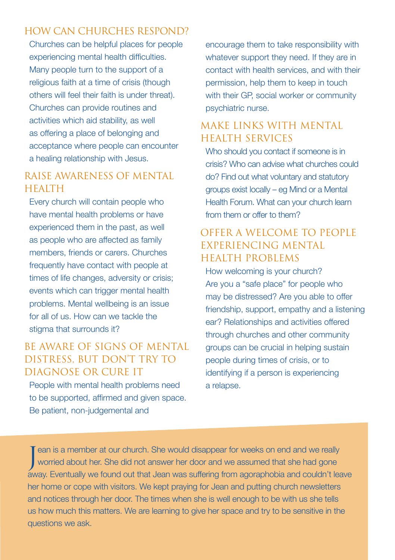#### HOW CAN CHURCHES RESPOND?

Churches can be helpful places for people experiencing mental health difficulties. Many people turn to the support of a religious faith at a time of crisis (though others will feel their faith is under threat). Churches can provide routines and activities which aid stability, as well as offering a place of belonging and acceptance where people can encounter a healing relationship with Jesus.

#### RAISE AWARENESS OF MENTAL **HEALTH**

Every church will contain people who have mental health problems or have experienced them in the past, as well as people who are affected as family members, friends or carers. Churches frequently have contact with people at times of life changes, adversity or crisis; events which can trigger mental health problems. Mental wellbeing is an issue for all of us. How can we tackle the stigma that surrounds it?

#### BE AWARE OF SIGNS OF MENTAL DISTRESS, BUT DON'T TRY TO DIAGNOSE OR CURE IT

People with mental health problems need to be supported, affirmed and given space. Be patient, non-judgemental and

encourage them to take responsibility with whatever support they need. If they are in contact with health services, and with their permission, help them to keep in touch with their GP, social worker or community psychiatric nurse.

#### MAKE LINKS WITH MENTAL HEALTH SERVICES

Who should you contact if someone is in crisis? Who can advise what churches could do? Find out what voluntary and statutory groups exist locally – eg Mind or a Mental Health Forum. What can your church learn from them or offer to them?

#### OFFER A WELCOME TO PEOPLE EXPERIENCING MENTAL HEALTH PROBLEMS

How welcoming is your church? Are you a "safe place" for people who may be distressed? Are you able to offer friendship, support, empathy and a listening ear? Relationships and activities offered through churches and other community groups can be crucial in helping sustain people during times of crisis, or to identifying if a person is experiencing a relapse.

Jean is a member at our church. She would disappear for weeks on end and we really<br>worried about her. She did not answer her door and we assumed that she had gone ean is a member at our church. She would disappear for weeks on end and we really away. Eventually we found out that Jean was suffering from agoraphobia and couldn't leave her home or cope with visitors. We kept praying for Jean and putting church newsletters and notices through her door. The times when she is well enough to be with us she tells us how much this matters. We are learning to give her space and try to be sensitive in the questions we ask.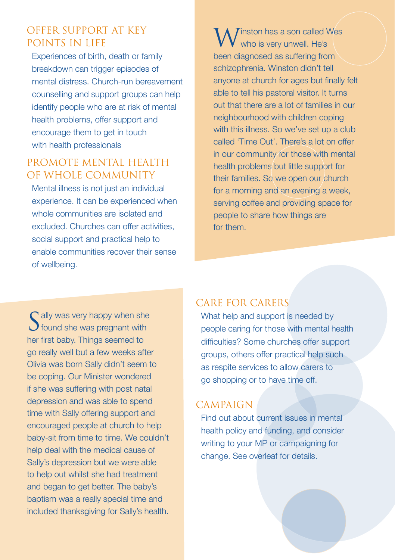#### OFFER SUPPORT AT KEY POINTS IN LIFE

Experiences of birth, death or family breakdown can trigger episodes of mental distress. Church-run bereavement counselling and support groups can help identify people who are at risk of mental health problems, offer support and encourage them to get in touch with health professionals

#### PROMOTE MENTAL HEALTH OF WHOLE COMMUNITY

Mental illness is not just an individual experience. It can be experienced when whole communities are isolated and excluded. Churches can offer activities social support and practical help to enable communities recover their sense of wellbeing.

 $\overline{\phantom{a}}$  Tinston has a son called Wes who is very unwell. He's been diagnosed as suffering from schizophrenia. Winston didn't tell anyone at church for ages but finally felt able to tell his pastoral visitor. It turns out that there are a lot of families in our neighbourhood with children coping with this illness. So we've set up a club called 'Time Out'. There's a lot on offer in our community for those with mental health problems but little support for their families. So we open our church for a morning and an evening a week, serving coffee and providing space for people to share how things are for them.

Sally was very happy when she<br>Stound she was pregnant with her first baby. Things seemed to go really well but a few weeks after Olivia was born Sally didn't seem to be coping. Our Minister wondered if she was suffering with post natal depression and was able to spend time with Sally offering support and encouraged people at church to help baby-sit from time to time. We couldn't help deal with the medical cause of Sally's depression but we were able to help out whilst she had treatment and began to get better. The baby's baptism was a really special time and included thanksgiving for Sally's health.

#### CARE FOR CARERS

What help and support is needed by people caring for those with mental health difficulties? Some churches offer support groups, others offer practical help such as respite services to allow carers to go shopping or to have time off.

#### CAMPAIGN

Find out about current issues in mental health policy and funding, and consider writing to your MP or campaigning for change. See overleaf for details.